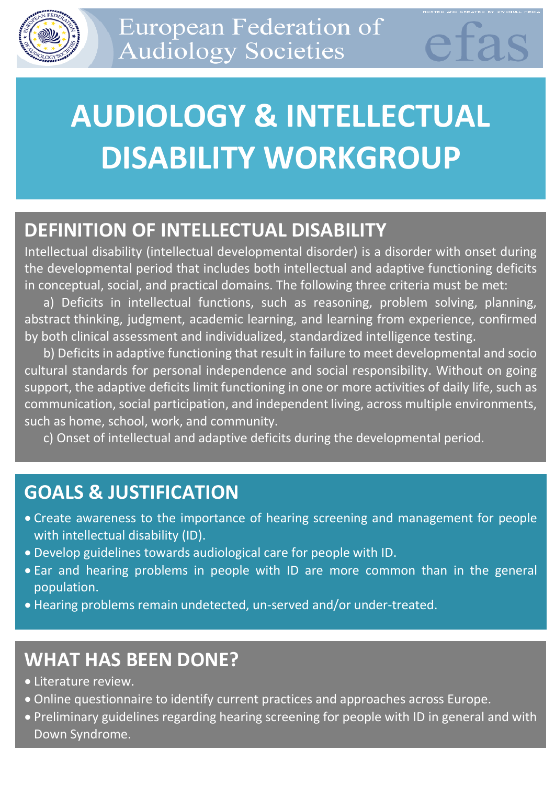

# **AUDIOLOGY & INTELLECTUAL DISABILITY WORKGROUP**

### **DEFINITION OF INTELLECTUAL DISABILITY**

Intellectual disability (intellectual developmental disorder) is a disorder with onset during the developmental period that includes both intellectual and adaptive functioning deficits in conceptual, social, and practical domains. The following three criteria must be met:

a) Deficits in intellectual functions, such as reasoning, problem solving, planning, abstract thinking, judgment, academic learning, and learning from experience, confirmed by both clinical assessment and individualized, standardized intelligence testing.

b) Deficits in adaptive functioning that result in failure to meet developmental and socio cultural standards for personal independence and social responsibility. Without on going support, the adaptive deficits limit functioning in one or more activities of daily life, such as communication, social participation, and independent living, across multiple environments, such as home, school, work, and community.

c) Onset of intellectual and adaptive deficits during the developmental period.

# **GOALS & JUSTIFICATION**

- Create awareness to the importance of hearing screening and management for people with intellectual disability (ID).
- Develop guidelines towards audiological care for people with ID.
- Ear and hearing problems in people with ID are more common than in the general population.
- Hearing problems remain undetected, un-served and/or under-treated.

# **WHAT HAS BEEN DONE?**

- Literature review.
- Online questionnaire to identify current practices and approaches across Europe.
- Preliminary guidelines regarding hearing screening for people with ID in general and with Down Syndrome.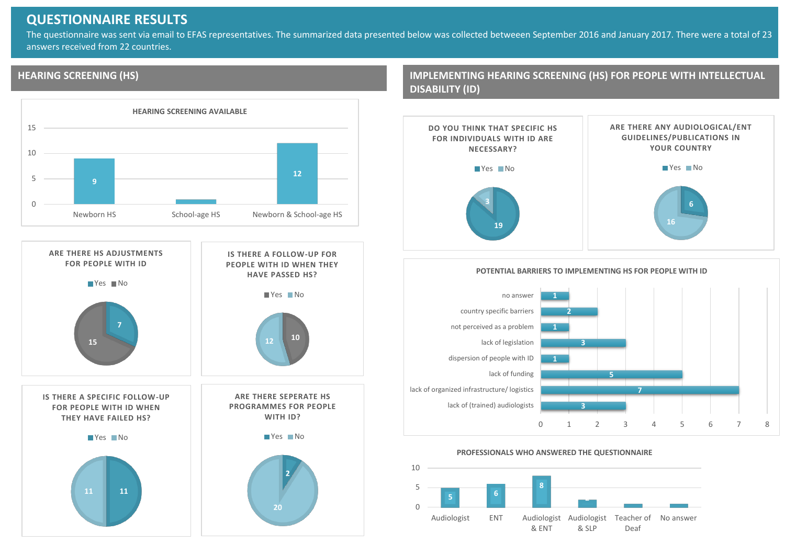#### **QUESTIONNAIRE RESULTS**

The questionnaire was sent via email to EFAS representatives. The summarized data presented below was collected betweeen September 2016 and January 2017. There were a total of 23 answers received from 22 countries.

#### **HEARING SCREENING (HS)**





**IMPLEMENTING HEARING SCREENING (HS) FOR PEOPLE WITH INTELLECTUAL DISABILITY (ID)**